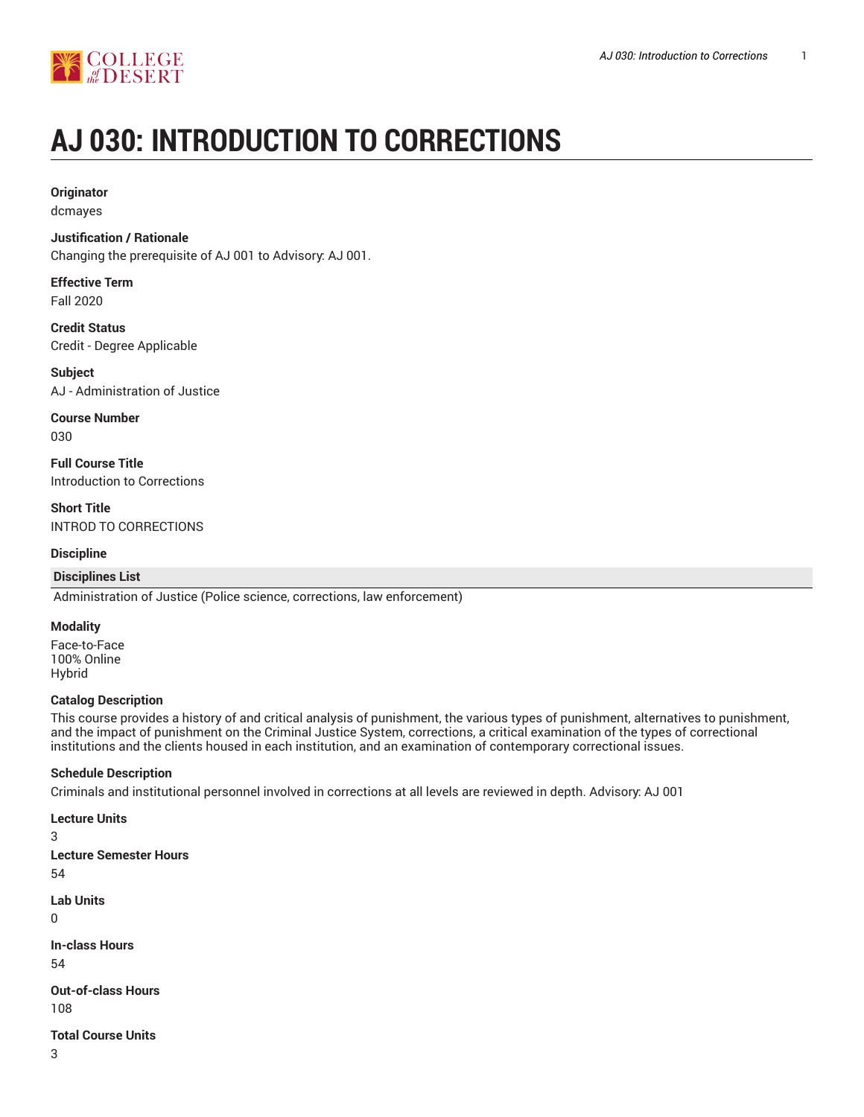

# **AJ 030: INTRODUCTION TO CORRECTIONS**

#### **Originator**

dcmayes

#### **Justification / Rationale**

Changing the prerequisite of AJ 001 to Advisory: AJ 001.

## **Effective Term**

Fall 2020

**Credit Status** Credit - Degree Applicable

**Subject** AJ - Administration of Justice

**Course Number** 030

**Full Course Title** Introduction to Corrections

**Short Title** INTROD TO CORRECTIONS

#### **Discipline**

#### **Disciplines List**

Administration of Justice (Police science, corrections, law enforcement)

#### **Modality**

Face-to-Face 100% Online Hybrid

#### **Catalog Description**

This course provides a history of and critical analysis of punishment, the various types of punishment, alternatives to punishment, and the impact of punishment on the Criminal Justice System, corrections, a critical examination of the types of correctional institutions and the clients housed in each institution, and an examination of contemporary correctional issues.

#### **Schedule Description**

Criminals and institutional personnel involved in corrections at all levels are reviewed in depth. Advisory: AJ 001

#### **Lecture Units**

3

```
Lecture Semester Hours
54
Lab Units
```

```
0
```
**In-class Hours** 54

**Out-of-class Hours** 108

**Total Course Units**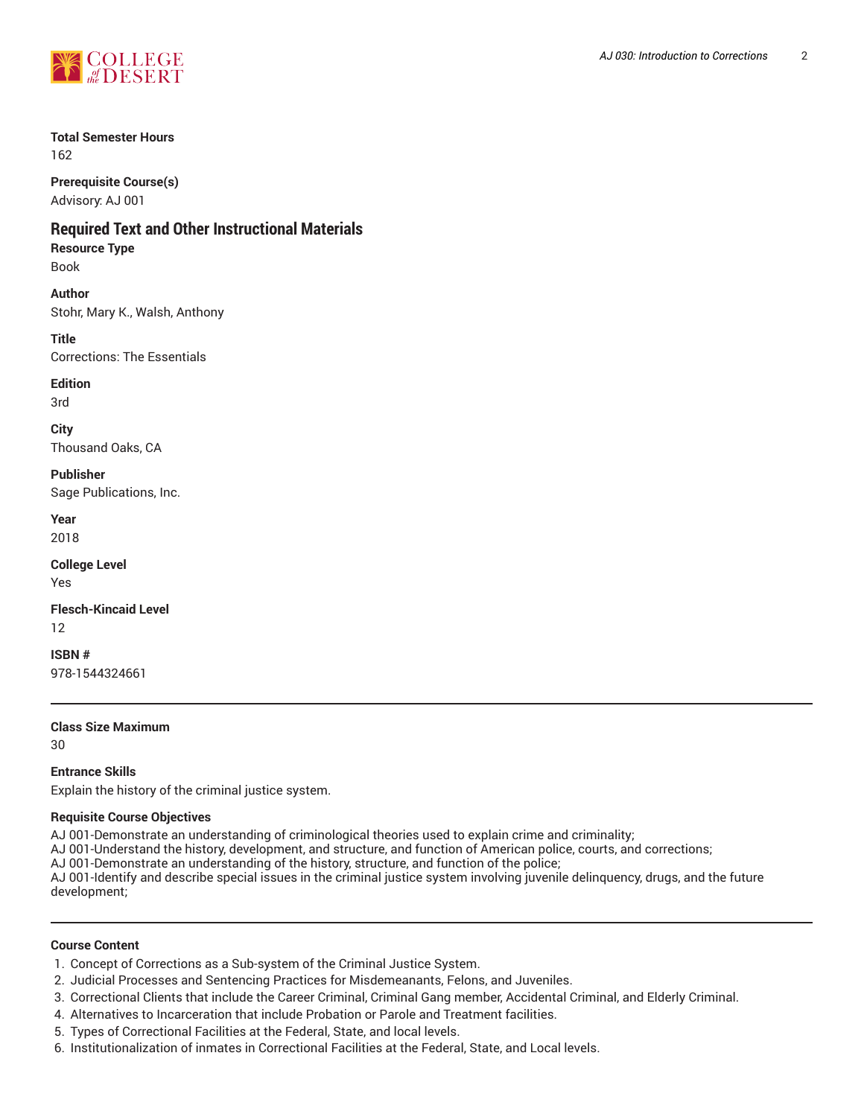

## **Total Semester Hours**

162

**Prerequisite Course(s)** Advisory: AJ 001

## **Required Text and Other Instructional Materials**

**Resource Type**

Book

**Author**

Stohr, Mary K., Walsh, Anthony

**Title**

Corrections: The Essentials

**Edition**

3rd

**City** Thousand Oaks, CA

**Publisher** Sage Publications, Inc.

**Year** 2018

**College Level**

Yes

**Flesch-Kincaid Level** 12

**ISBN #** 978-1544324661

**Class Size Maximum**

30

#### **Entrance Skills**

Explain the history of the criminal justice system.

#### **Requisite Course Objectives**

AJ 001-Demonstrate an understanding of criminological theories used to explain crime and criminality;

AJ 001-Understand the history, development, and structure, and function of American police, courts, and corrections;

AJ 001-Demonstrate an understanding of the history, structure, and function of the police;

AJ 001-Identify and describe special issues in the criminal justice system involving juvenile delinquency, drugs, and the future development;

#### **Course Content**

- 1. Concept of Corrections as a Sub-system of the Criminal Justice System.
- 2. Judicial Processes and Sentencing Practices for Misdemeanants, Felons, and Juveniles.
- 3. Correctional Clients that include the Career Criminal, Criminal Gang member, Accidental Criminal, and Elderly Criminal.
- 4. Alternatives to Incarceration that include Probation or Parole and Treatment facilities.
- 5. Types of Correctional Facilities at the Federal, State, and local levels.
- 6. Institutionalization of inmates in Correctional Facilities at the Federal, State, and Local levels.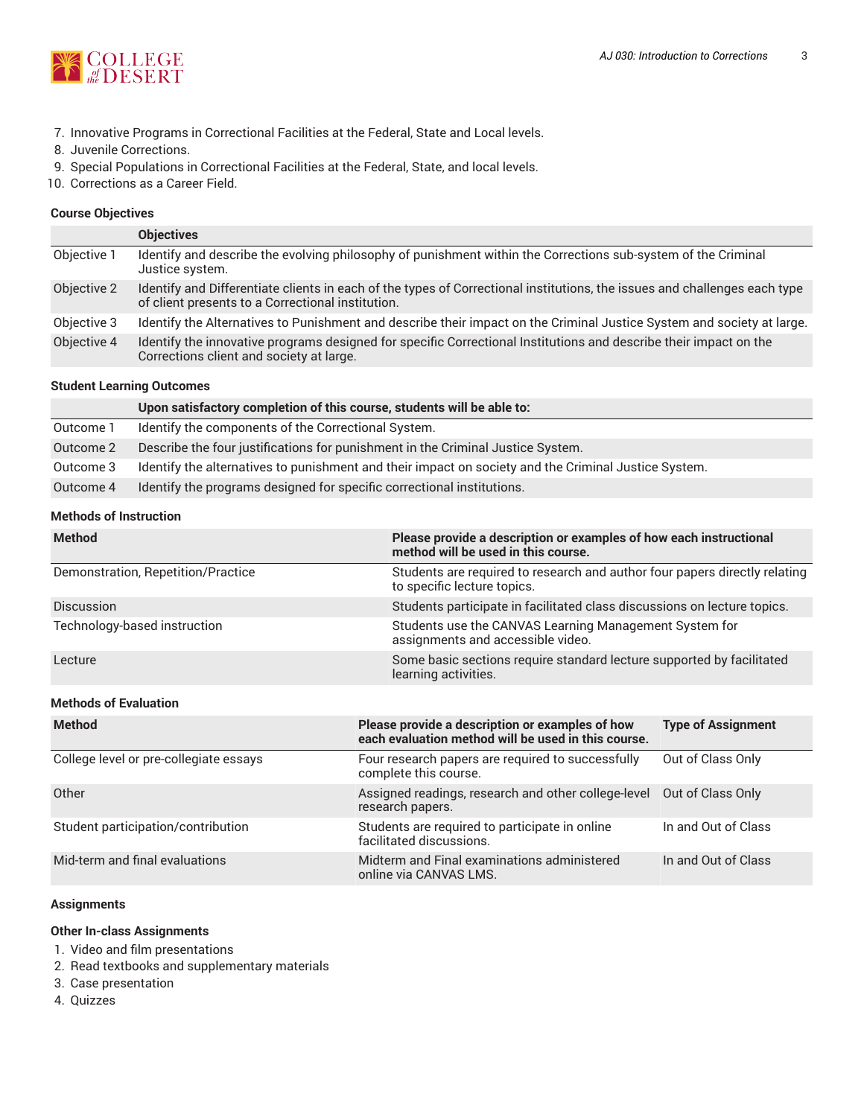

- 7. Innovative Programs in Correctional Facilities at the Federal, State and Local levels.
- 8. Juvenile Corrections.
- 9. Special Populations in Correctional Facilities at the Federal, State, and local levels.
- 10. Corrections as a Career Field.

#### **Course Objectives**

|             | <b>Objectives</b>                                                                                                                                                              |
|-------------|--------------------------------------------------------------------------------------------------------------------------------------------------------------------------------|
| Objective 1 | Identify and describe the evolving philosophy of punishment within the Corrections sub-system of the Criminal<br>Justice system.                                               |
| Objective 2 | Identify and Differentiate clients in each of the types of Correctional institutions, the issues and challenges each type<br>of client presents to a Correctional institution. |
| Objective 3 | Identify the Alternatives to Punishment and describe their impact on the Criminal Justice System and society at large.                                                         |
| Objective 4 | Identify the innovative programs designed for specific Correctional Institutions and describe their impact on the<br>Corrections client and society at large.                  |
|             |                                                                                                                                                                                |

#### **Student Learning Outcomes**

|           | Upon satisfactory completion of this course, students will be able to:                               |
|-----------|------------------------------------------------------------------------------------------------------|
| Outcome 1 | Identify the components of the Correctional System.                                                  |
| Outcome 2 | Describe the four justifications for punishment in the Criminal Justice System.                      |
| Outcome 3 | Identify the alternatives to punishment and their impact on society and the Criminal Justice System. |
| Outcome 4 | Identify the programs designed for specific correctional institutions.                               |

#### **Methods of Instruction**

| <b>Method</b>                          | Please provide a description or examples of how each instructional<br>method will be used in this course. |                                                                            |  |  |  |
|----------------------------------------|-----------------------------------------------------------------------------------------------------------|----------------------------------------------------------------------------|--|--|--|
| Demonstration, Repetition/Practice     | to specific lecture topics.                                                                               | Students are required to research and author four papers directly relating |  |  |  |
| <b>Discussion</b>                      | Students participate in facilitated class discussions on lecture topics.                                  |                                                                            |  |  |  |
| Technology-based instruction           | Students use the CANVAS Learning Management System for<br>assignments and accessible video.               |                                                                            |  |  |  |
| Lecture                                | Some basic sections require standard lecture supported by facilitated<br>learning activities.             |                                                                            |  |  |  |
| <b>Methods of Evaluation</b>           |                                                                                                           |                                                                            |  |  |  |
| <b>Method</b>                          | Please provide a description or examples of how<br>each evaluation method will be used in this course.    | <b>Type of Assignment</b>                                                  |  |  |  |
| College level or pre-collegiate essays | Four research papers are required to successfully<br>complete this course.                                | Out of Class Only                                                          |  |  |  |
| Other                                  | Assigned readings, research and other college-level<br>research papers.                                   | Out of Class Only                                                          |  |  |  |
| Student participation/contribution     | Students are required to participate in online<br>facilitated discussions.                                | In and Out of Class                                                        |  |  |  |
| Mid-term and final evaluations         | Midterm and Final examinations administered<br>online via CANVAS LMS.                                     | In and Out of Class                                                        |  |  |  |

#### **Assignments**

**Other In-class Assignments**

1. Video and film presentations

- 2. Read textbooks and supplementary materials
- 3. Case presentation
- 4. Quizzes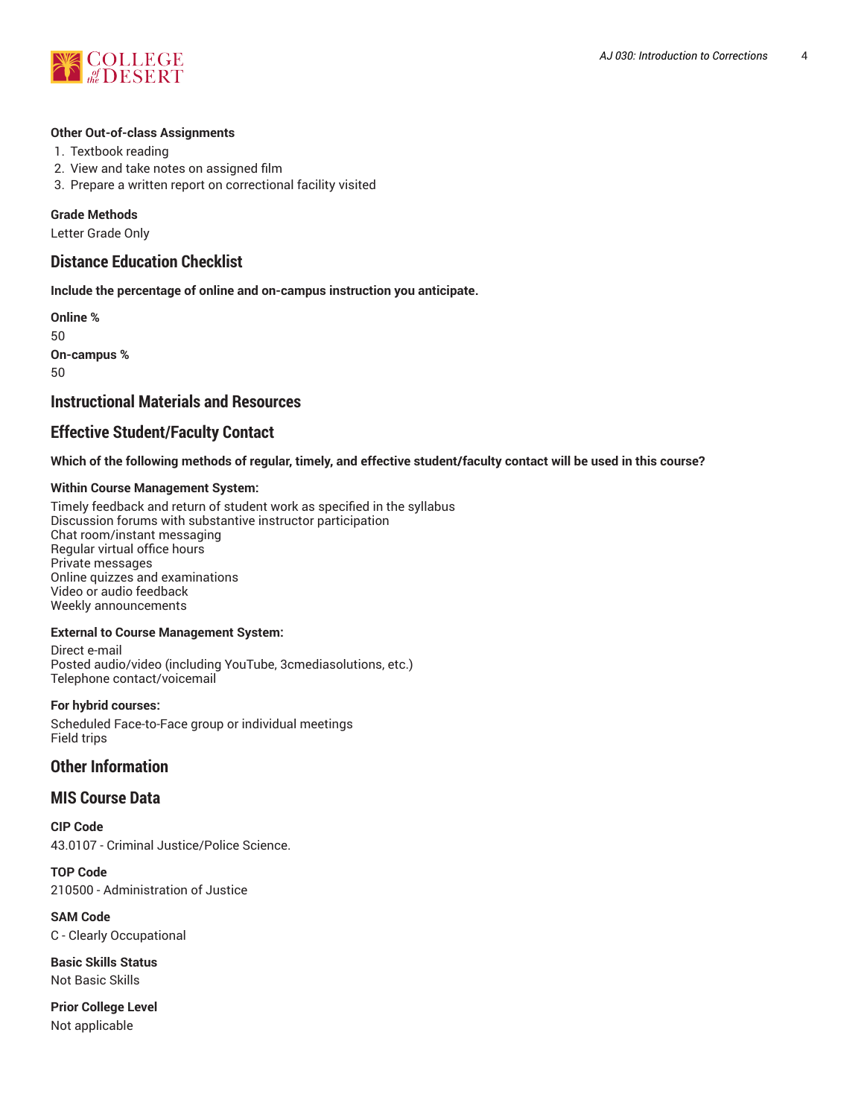

#### **Other Out-of-class Assignments**

- 1. Textbook reading
- 2. View and take notes on assigned film
- 3. Prepare a written report on correctional facility visited

#### **Grade Methods**

Letter Grade Only

### **Distance Education Checklist**

**Include the percentage of online and on-campus instruction you anticipate.**

**Online %** 50 **On-campus %** 50

## **Instructional Materials and Resources**

## **Effective Student/Faculty Contact**

Which of the following methods of regular, timely, and effective student/faculty contact will be used in this course?

#### **Within Course Management System:**

Timely feedback and return of student work as specified in the syllabus Discussion forums with substantive instructor participation Chat room/instant messaging Regular virtual office hours Private messages Online quizzes and examinations Video or audio feedback Weekly announcements

#### **External to Course Management System:**

Direct e-mail Posted audio/video (including YouTube, 3cmediasolutions, etc.) Telephone contact/voicemail

#### **For hybrid courses:**

Scheduled Face-to-Face group or individual meetings Field trips

#### **Other Information**

#### **MIS Course Data**

**CIP Code** 43.0107 - Criminal Justice/Police Science.

**TOP Code** 210500 - Administration of Justice

**SAM Code** C - Clearly Occupational

**Basic Skills Status** Not Basic Skills

**Prior College Level** Not applicable